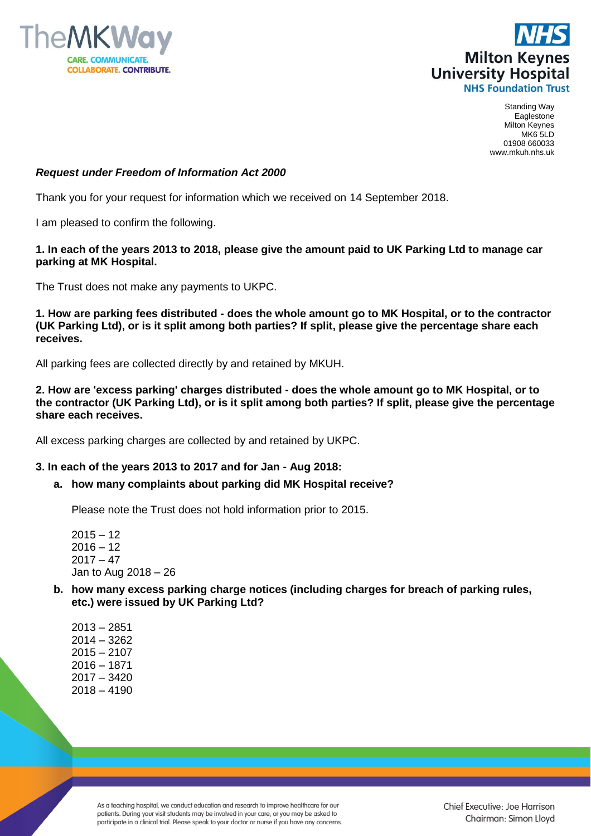



Standing Way Eaglestone Milton Keynes MK6 5LD 01908 660033 www.mkuh.nhs.uk

# *Request under Freedom of Information Act 2000*

Thank you for your request for information which we received on 14 September 2018.

I am pleased to confirm the following.

# **1. In each of the years 2013 to 2018, please give the amount paid to UK Parking Ltd to manage car parking at MK Hospital.**

The Trust does not make any payments to UKPC.

**1. How are parking fees distributed - does the whole amount go to MK Hospital, or to the contractor (UK Parking Ltd), or is it split among both parties? If split, please give the percentage share each receives.**

All parking fees are collected directly by and retained by MKUH.

**2. How are 'excess parking' charges distributed - does the whole amount go to MK Hospital, or to the contractor (UK Parking Ltd), or is it split among both parties? If split, please give the percentage share each receives.**

All excess parking charges are collected by and retained by UKPC.

# **3. In each of the years 2013 to 2017 and for Jan - Aug 2018:**

### **a. how many complaints about parking did MK Hospital receive?**

Please note the Trust does not hold information prior to 2015.

 $2015 - 12$  $2016 - 12$  $2017 - 47$ Jan to Aug 2018 – 26

**b. how many excess parking charge notices (including charges for breach of parking rules, etc.) were issued by UK Parking Ltd?**

| 2013 - 2851   |
|---------------|
| $2014 - 3262$ |
| 2015 – 2107   |
| 2016 – 1871   |
| 2017 – 3420   |
| 2018 – 4190   |

As a teaching hospital, we conduct education and research to improve healthcare for our patients. During your visit students may be involved in your care, or you may be asked to participate in a clinical trial. Please speak to your doctor or nurse if you have any concerns.